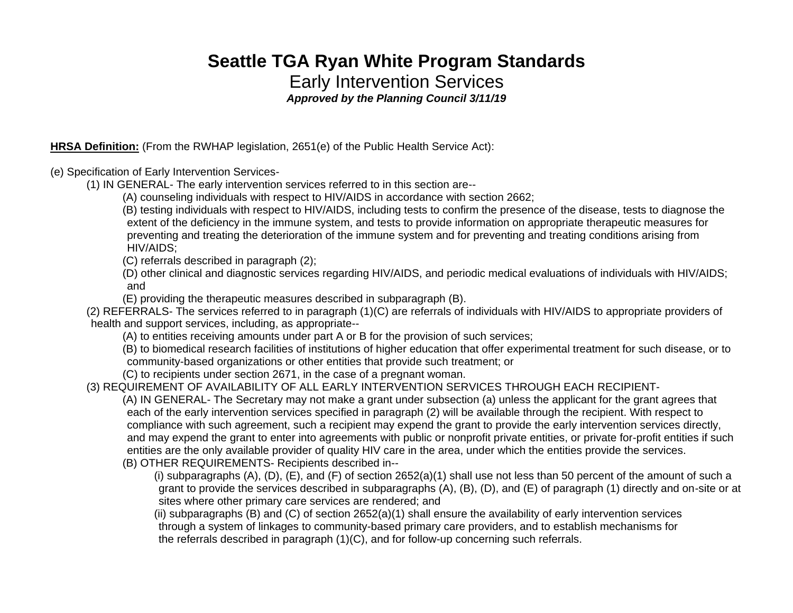# **Seattle TGA Ryan White Program Standards** Early Intervention Services *Approved by the Planning Council 3/11/19*

**HRSA Definition:** (From the RWHAP legislation, 2651(e) of the Public Health Service Act):

(e) Specification of Early Intervention Services-

(1) IN GENERAL- The early intervention services referred to in this section are--

(A) counseling individuals with respect to HIV/AIDS in accordance with section 2662;

(B) testing individuals with respect to HIV/AIDS, including tests to confirm the presence of the disease, tests to diagnose the extent of the deficiency in the immune system, and tests to provide information on appropriate therapeutic measures for preventing and treating the deterioration of the immune system and for preventing and treating conditions arising from HIV/AIDS;

(C) referrals described in paragraph (2);

(D) other clinical and diagnostic services regarding HIV/AIDS, and periodic medical evaluations of individuals with HIV/AIDS; and

(E) providing the therapeutic measures described in subparagraph (B).

(2) REFERRALS- The services referred to in paragraph (1)(C) are referrals of individuals with HIV/AIDS to appropriate providers of health and support services, including, as appropriate--

(A) to entities receiving amounts under part A or B for the provision of such services;

(B) to biomedical research facilities of institutions of higher education that offer experimental treatment for such disease, or to community-based organizations or other entities that provide such treatment; or

(C) to recipients under section 2671, in the case of a pregnant woman.

(3) REQUIREMENT OF AVAILABILITY OF ALL EARLY INTERVENTION SERVICES THROUGH EACH RECIPIENT-

(A) IN GENERAL- The Secretary may not make a grant under subsection (a) unless the applicant for the grant agrees that each of the early intervention services specified in paragraph (2) will be available through the recipient. With respect to compliance with such agreement, such a recipient may expend the grant to provide the early intervention services directly, and may expend the grant to enter into agreements with public or nonprofit private entities, or private for-profit entities if such entities are the only available provider of quality HIV care in the area, under which the entities provide the services. (B) OTHER REQUIREMENTS- Recipients described in--

(i) subparagraphs  $(A)$ ,  $(D)$ ,  $(E)$ , and  $(F)$  of section 2652(a)(1) shall use not less than 50 percent of the amount of such a grant to provide the services described in subparagraphs (A), (B), (D), and (E) of paragraph (1) directly and on-site or at sites where other primary care services are rendered; and

(ii) subparagraphs (B) and (C) of section 2652(a)(1) shall ensure the availability of early intervention services through a system of linkages to community-based primary care providers, and to establish mechanisms for the referrals described in paragraph (1)(C), and for follow-up concerning such referrals.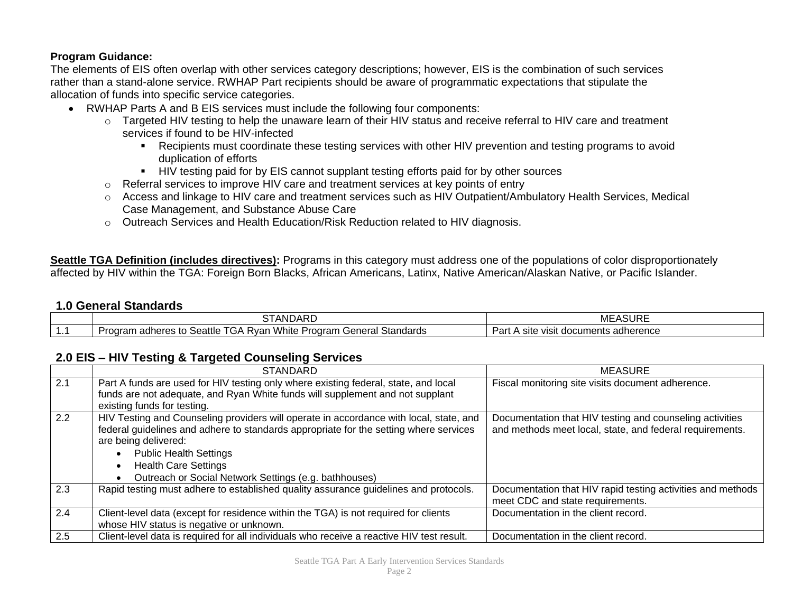#### **Program Guidance:**

The elements of EIS often overlap with other services category descriptions; however, EIS is the combination of such services rather than a stand-alone service. RWHAP Part recipients should be aware of programmatic expectations that stipulate the allocation of funds into specific service categories.

- RWHAP Parts A and B EIS services must include the following four components:
	- o Targeted HIV testing to help the unaware learn of their HIV status and receive referral to HIV care and treatment services if found to be HIV-infected
		- Recipients must coordinate these testing services with other HIV prevention and testing programs to avoid duplication of efforts
		- HIV testing paid for by EIS cannot supplant testing efforts paid for by other sources
	- o Referral services to improve HIV care and treatment services at key points of entry
	- o Access and linkage to HIV care and treatment services such as HIV Outpatient/Ambulatory Health Services, Medical Case Management, and Substance Abuse Care
	- $\circ$  Outreach Services and Health Education/Risk Reduction related to HIV diagnosis.

**Seattle TGA Definition (includes directives):** Programs in this category must address one of the populations of color disproportionately affected by HIV within the TGA: Foreign Born Blacks, African Americans, Latinx, Native American/Alaskan Native, or Pacific Islander.

#### **1.0 General Standards**

| <b>STANDARD</b>                                                                                                            | ASURE<br>ME                                   |
|----------------------------------------------------------------------------------------------------------------------------|-----------------------------------------------|
| $T^{\wedge}$<br>White<br>adheres to Seattle<br>Standards<br>Genera'<br>Program<br>לvan<br>.oaram<br>1.322<br>.GA<br>iei di | Pan<br>adherence ;<br>site<br>visit documents |

#### **2.0 EIS – HIV Testing & Targeted Counseling Services**

|     | <b>STANDARD</b>                                                                                                                                                                                                                                                                                                                  | <b>MEASURE</b>                                                                                                       |
|-----|----------------------------------------------------------------------------------------------------------------------------------------------------------------------------------------------------------------------------------------------------------------------------------------------------------------------------------|----------------------------------------------------------------------------------------------------------------------|
| 2.1 | Part A funds are used for HIV testing only where existing federal, state, and local<br>funds are not adequate, and Ryan White funds will supplement and not supplant<br>existing funds for testing.                                                                                                                              | Fiscal monitoring site visits document adherence.                                                                    |
| 2.2 | HIV Testing and Counseling providers will operate in accordance with local, state, and<br>federal guidelines and adhere to standards appropriate for the setting where services<br>are being delivered:<br><b>Public Health Settings</b><br><b>Health Care Settings</b><br>Outreach or Social Network Settings (e.g. bathhouses) | Documentation that HIV testing and counseling activities<br>and methods meet local, state, and federal requirements. |
| 2.3 | Rapid testing must adhere to established quality assurance guidelines and protocols.                                                                                                                                                                                                                                             | Documentation that HIV rapid testing activities and methods<br>meet CDC and state requirements.                      |
| 2.4 | Client-level data (except for residence within the TGA) is not required for clients<br>whose HIV status is negative or unknown.                                                                                                                                                                                                  | Documentation in the client record.                                                                                  |
| 2.5 | Client-level data is required for all individuals who receive a reactive HIV test result.                                                                                                                                                                                                                                        | Documentation in the client record.                                                                                  |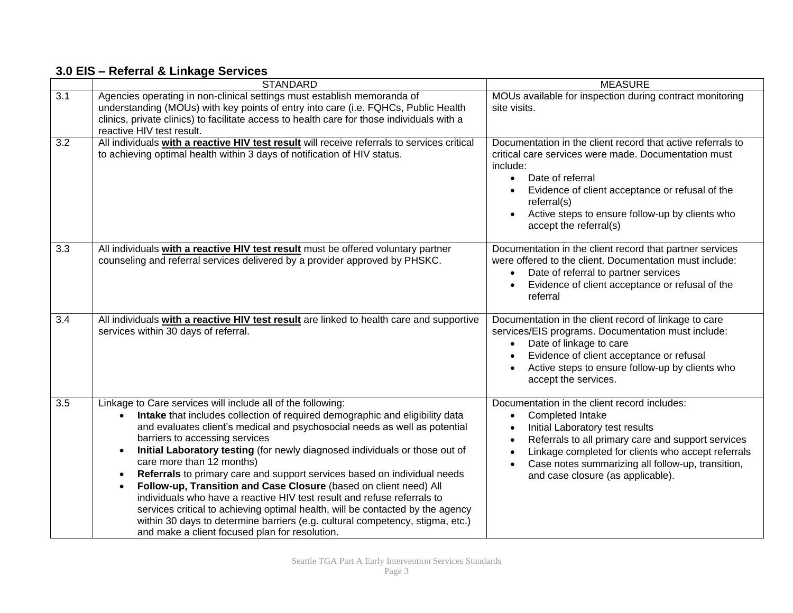### **3.0 EIS – Referral & Linkage Services**

|                  | <b>STANDARD</b>                                                                                                                                                                                                                                                                                                                                                                                                                                                                                                                                                                                                                                                                                                                                                                                                                                                 | <b>MEASURE</b>                                                                                                                                                                                                                                                                                                         |
|------------------|-----------------------------------------------------------------------------------------------------------------------------------------------------------------------------------------------------------------------------------------------------------------------------------------------------------------------------------------------------------------------------------------------------------------------------------------------------------------------------------------------------------------------------------------------------------------------------------------------------------------------------------------------------------------------------------------------------------------------------------------------------------------------------------------------------------------------------------------------------------------|------------------------------------------------------------------------------------------------------------------------------------------------------------------------------------------------------------------------------------------------------------------------------------------------------------------------|
| $\overline{3.1}$ | Agencies operating in non-clinical settings must establish memoranda of<br>understanding (MOUs) with key points of entry into care (i.e. FQHCs, Public Health<br>clinics, private clinics) to facilitate access to health care for those individuals with a<br>reactive HIV test result.                                                                                                                                                                                                                                                                                                                                                                                                                                                                                                                                                                        | MOUs available for inspection during contract monitoring<br>site visits.                                                                                                                                                                                                                                               |
| $\overline{3.2}$ | All individuals with a reactive HIV test result will receive referrals to services critical<br>to achieving optimal health within 3 days of notification of HIV status.                                                                                                                                                                                                                                                                                                                                                                                                                                                                                                                                                                                                                                                                                         | Documentation in the client record that active referrals to<br>critical care services were made. Documentation must<br>include:<br>Date of referral<br>$\bullet$<br>Evidence of client acceptance or refusal of the<br>referral(s)<br>Active steps to ensure follow-up by clients who<br>accept the referral(s)        |
| 3.3              | All individuals with a reactive HIV test result must be offered voluntary partner<br>counseling and referral services delivered by a provider approved by PHSKC.                                                                                                                                                                                                                                                                                                                                                                                                                                                                                                                                                                                                                                                                                                | Documentation in the client record that partner services<br>were offered to the client. Documentation must include:<br>Date of referral to partner services<br>Evidence of client acceptance or refusal of the<br>referral                                                                                             |
| 3.4              | All individuals with a reactive HIV test result are linked to health care and supportive<br>services within 30 days of referral.                                                                                                                                                                                                                                                                                                                                                                                                                                                                                                                                                                                                                                                                                                                                | Documentation in the client record of linkage to care<br>services/EIS programs. Documentation must include:<br>Date of linkage to care<br>Evidence of client acceptance or refusal<br>Active steps to ensure follow-up by clients who<br>accept the services.                                                          |
| $\overline{3.5}$ | Linkage to Care services will include all of the following:<br>Intake that includes collection of required demographic and eligibility data<br>and evaluates client's medical and psychosocial needs as well as potential<br>barriers to accessing services<br>Initial Laboratory testing (for newly diagnosed individuals or those out of<br>$\bullet$<br>care more than 12 months)<br>Referrals to primary care and support services based on individual needs<br>$\bullet$<br>Follow-up, Transition and Case Closure (based on client need) All<br>$\bullet$<br>individuals who have a reactive HIV test result and refuse referrals to<br>services critical to achieving optimal health, will be contacted by the agency<br>within 30 days to determine barriers (e.g. cultural competency, stigma, etc.)<br>and make a client focused plan for resolution. | Documentation in the client record includes:<br>Completed Intake<br>$\bullet$<br>Initial Laboratory test results<br>Referrals to all primary care and support services<br>Linkage completed for clients who accept referrals<br>Case notes summarizing all follow-up, transition,<br>and case closure (as applicable). |